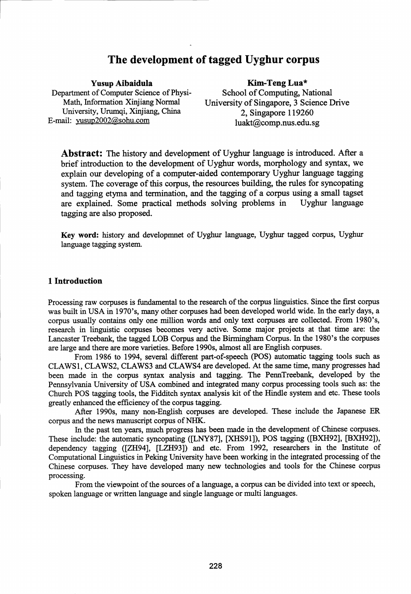# The development of tagged Uyghur corpus

Yusup Aibaidula Department of Computer Science of Physi-Math, Information Xinjiang Normal University, Urumqi, Xinjiang, China E-mail: yusup2002@sohu.com

#### Kim-Teng Lua\*

School of Computing, National University of Singapore, 3 Science Drive 2, Singapore 119260 luakt@comp.nus.edu.sg

Abstract: The history and development of Uyghur language is introduced. After a brief introduction to the development of Uyghur words, morphology and syntax, we explain our developing of a computer-aided contemporary Uyghur language tagging system. The coverage of this corpus, the resources building, the rules for syncopating and tagging etyma and termination, and the tagging of a corpus using a small tagset are explained. Some practical methods solving problems in Uyghur language tagging are also proposed.

Key word: history and developmnet of Uyghur language, Uyghur tagged corpus, Uyghur language tagging system.

### 1 Introduction

Processing raw corpuses is fundamental to the research of the corpus linguistics. Since the first corpus was built in USA in 1970's, many other corpuses had been developed world wide. In the early days, a corpus usually contains only one million words and only text corpuses are collected. From 1980's, research in linguistic corpuses becomes very active. Some major projects at that time are: the Lancaster Treebank, the tagged LOB Corpus and the Birmingham Corpus. In the 1980's the corpuses are large and there are more varieties. Before 1990s, almost all are English corpuses.

From 1986 to 1994, several different part-of-speech (POS) automatic tagging tools such as CLAWS1, CLAWS2, CLAWS3 and CLAWS4 are developed. At the same time, many progresses had been made in the corpus syntax analysis and tagging. The PennTreebank, developed by the Pennsylvania University of USA combined and integrated many corpus processing tools such as: the Church POS tagging tools, the Fidditch syntax analysis kit of the Hindle system and etc. These tools greatly enhanced the efficiency of the corpus tagging.

After 1990s, many non-English corpuses are developed. These include the Japanese ER corpus and the news manuscript corpus of NHK.

In the past ten years, much progress has been made in the development of Chinese corpuses. These include: the automatic syncopating ([LNY87], [XHS91]), POS tagging ([BXH92], [BXH92]), dependency tagging ([ZH94], [LZH93]) and etc. From 1992, researchers in the Institute of Computational Linguistics in Peking University have been working in the integrated processing of the Chinese corpuses. They have developed many new technologies and tools for the Chinese corpus processing.

From the viewpoint of the sources of a language, a corpus can be divided into text or speech, spoken language or written language and single language or multi languages.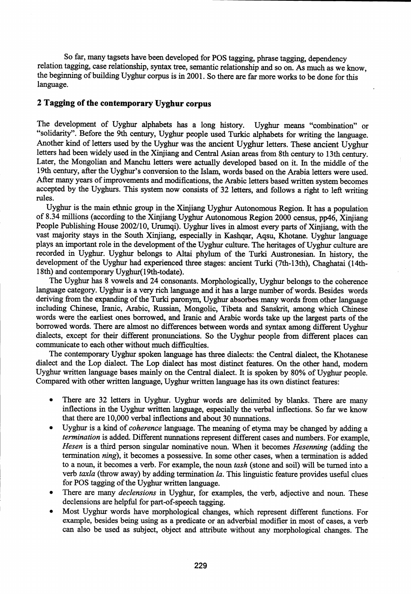So far, many tagsets have been developed for POS tagging, phrase tagging, dependency relation tagging, case relationship, syntax tree, semantic relationship and so on. As much as we know, the beginning of building Uyghur corpus is in 2001. So there are far more works to be done for this language.

# 2 Tagging of the contemporary Uyghur corpus

The development of Uyghur alphabets has a long history. Uyghur means "combination" or "solidarity". Before the 9th century, Uyghur people used Turkic alphabets for writing the language. Another kind of letters used by the Uyghur was the ancient Uyghur letters. These ancient Uyghur letters had been widely used in the Xinjiang and Central Asian areas from 8th century to 13th century. Later, the Mongolian and Manchu letters were actually developed based on it. In the middle of the 19th century, after the Uyghur's conversion to the Islam, words based on the Arabia letters were used. After many years of improvements and modifications, the Arabic letters based written system becomes accepted by the Uyghurs. This system now consists of 32 letters, and follows a right to left writing rules.

Uyghur is the main ethnic group in the Xinjiang Uyghur Autonomous Region. It has a population of 8.34 millions (according to the Xinjiang Uyghur Autonomous Region 2000 census, pp46, Xinjiang People Publishing House 2002/10, Urumqi). Uyghur lives in almost every parts of Xinjiang, with the vast majority stays in the South Xinjiang, especially in Kashqar, Aqsu, Khotane. Uyghur language plays an important role in the development of the Uyghur culture. The heritages of Uyghur culture are recorded in Uyghur. Uyghur belongs to Altai phylum of the Turki Austronesian. In history, the development of the Uyghur had experienced three stages: ancient Turki (7th-13th), Chaghatai (14th-18th) and contemporary Uyghur(19th-todate).

The Uyghur has 8 vowels and 24 consonants. Morphologically, Uyghur belongs to the coherence language category. Uyghur is a very rich language and it has a large number of words. Besides words deriving from the expanding of the Turki paronym, Uyghur absorbes many words from other language including Chinese, Iranic, Arabic, Russian, Mongolic, Tibeta and Sanskrit, among which Chinese words were the earliest ones borrowed, and Iranic and Arabic words take up the largest parts of the borrowed words. There are almost no differences between words and syntax among different Uyghur dialects, except for their different pronunciations. So the Uyghur people from different places can communicate to each other without much difficulties.

The contemporary Uyghur spoken language has three dialects: the Central dialect, the Khotanese dialect and the Lop dialect. The Lop dialect has most distinct features. On the other hand, modern Uyghur written language bases mainly on the Central dialect. It is spoken by 80% of Uyghur people. Compared with other written language, Uyghur written language has its own distinct features:

- There are 32 letters in Uyghur. Uyghur words are delimited by blanks. There are many inflections in the Uyghur written language, especially the verbal inflections. So far we know that there are 10,000 verbal inflections and about 30 nunnations.
- Uyghur is a kind of *coherence* language. The meaning of etyma may be changed by adding a *termination* is added. Different nunnations represent different cases and numbers. For example, *Hesen is a* third person singular nominative noun. When it becomes *Hesenning* (adding the termination *ning),* it becomes a possessive. In some other cases, when a termination is added to a noun, it becomes a verb. For example, the noun *tash* (stone and soil) will be turned into a verb *taxla* (throw away) by adding termination *la.* This linguistic feature provides useful clues for POS tagging of the Uyghur written language.
- There are many *declensions* in Uyghur, for examples, the verb, adjective and noun. These declensions are helpful for part-of-speech tagging.
- Most Uyghur words have morphological changes, which represent different functions. For example, besides being using as a predicate or an adverbial modifier in most of cases, a verb can also be used as subject, object and attribute without any morphological changes. The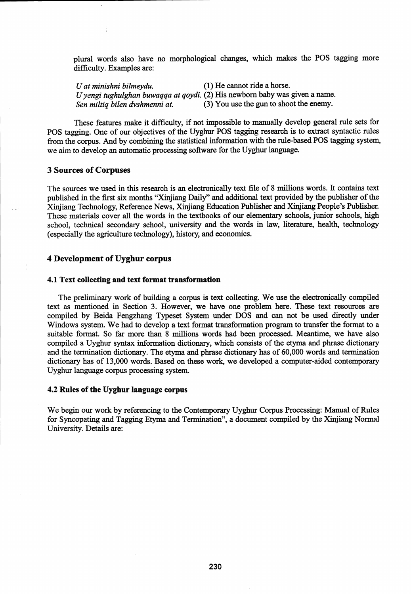plural words also have no morphological changes, which makes the POS tagging more difficulty. Examples are:

*U at minishni bilmeydu.* (1) He cannot ride a horse. *Uyengi tughulghan buwaqqa at qoydi.* (2) His newborn baby was given a name. *Sen miltiq bilen dvshmenni at.* (3) You use the gun to shoot the enemy.

These features make it difficulty, if not impossible to manually develop general rule sets for POS tagging. One of our objectives of the Uyghur POS tagging research is to extract syntactic rules from the corpus. And by combining the statistical information with the rule-based POS tagging system, we aim to develop an automatic processing software for the Uyghur language.

### 3 Sources of Corpuses

The sources we used in this research is an electronically text file of 8 millions words. It contains text published in the first six months "Xinjiang Daily" and additional text provided by the publisher of the Xinjiang Technology, Reference News, Xinjiang Education Publisher and Xinjiang People's Publisher. These materials cover all the words in the textbooks of our elementary schools, junior schools, high school, technical secondary school, university and the words in law, literature, health, technology (especially the agriculture technology), history, and economics.

# 4 Development of Uyghur corpus

### 4.1 Text collecting and text format transformation

The preliminary work of building a corpus is text collecting. We use the electronically compiled text as mentioned in Section 3. However, we have one problem here. These text resources are compiled by Beida Fengzhang Typeset System under DOS and can not be used directly under Windows system. We had to develop a text format transformation program to transfer the format to a suitable format. So far more than 8 millions words had been processed. Meantime, we have also compiled a Uyghur syntax information dictionary, which consists of the etyma and phrase dictionary and the termination dictionary. The etyma and phrase dictionary has of 60,000 words and termination dictionary has of 13,000 words. Based on these work, we developed a computer-aided contemporary Uyghur language corpus processing system.

### 4.2 Rules of the Uyghur language corpus

We begin our work by referencing to the Contemporary Uyghur Corpus Processing: Manual of Rules for Syncopating and Tagging Etyma and Termination", a document compiled by the Xinjiang Normal University. Details are: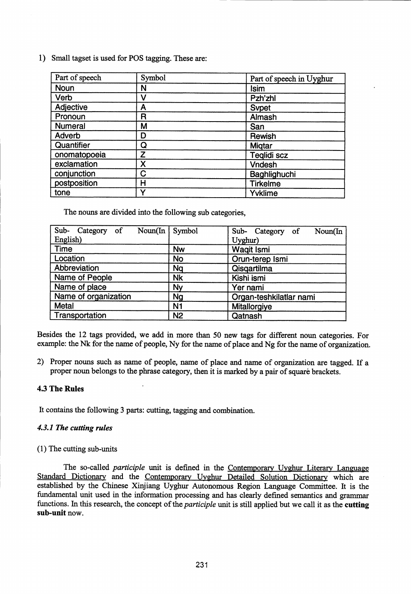1) Small tagset is used for POS tagging. These are:

| Part of speech | Symbol | Part of speech in Uyghur |
|----------------|--------|--------------------------|
| <b>Noun</b>    | N      | <b>Isim</b>              |
| Verb           | V      | Pzh'zhl                  |
| Adjective      | Α      | <b>Sypet</b>             |
| Pronoun        | R      | Almash                   |
| <b>Numeral</b> | М      | San                      |
| Adverb         | D      | Rewish                   |
| Quantifier     | Q      | <b>Migtar</b>            |
| onomatopoeia   | Z      | Teglidi scz              |
| exclamation    | X      | <b>Vndesh</b>            |
| conjunction    | C      | Baghlighuchi             |
| postposition   | Н      | <b>Tirkelme</b>          |
| tone           | ັ      | Yvklime                  |

The nouns are divided into the following sub categories,

| Sub-<br>Noun(In<br>Category of | Symbol         | Sub- Category of<br>Noun(In |
|--------------------------------|----------------|-----------------------------|
| English)                       |                | Uyghur)                     |
| <b>Time</b>                    | <b>Nw</b>      | <b>Waqit Ismi</b>           |
| Location                       | <b>No</b>      | Orun-terep Ismi             |
| Abbreviation                   | Nq             | Qisqartilma                 |
| Name of People                 | <b>Nk</b>      | Kishi ismi                  |
| Name of place                  | Ny             | Yer nami                    |
| Name of organization           | <b>Ng</b>      | Organ-teshkilatlar nami     |
| Metal                          | N <sub>1</sub> | Mitallorgiye                |
| Transportation                 | <b>N2</b>      | Qatnash                     |

Besides the 12 tags provided, we add in more than 50 new tags for different noun categories. For example: the Nk for the name of people, Ny for the name of place and Ng for the name of organization.

2) Proper nouns such as name of people, name of place and name of organization are tagged. If a proper noun belongs to the phrase category, then it is marked by a pair of square brackets.

# 4.3 The Rules

It contains the following 3 parts: cutting, tagging and combination.

# *4.3.1 The cutting rules*

### (1) The cutting sub-units

The so-called *participle* unit is defined in the Contemporary Uyghur Literary Language Standard Dictionary and the Contemporary Uyghur Detailed Solution Dictionary which are established by the Chinese Xinjiang Uyghur Autonomous Region Language Committee. It is the fundamental unit used in the information processing and has clearly defined semantics and grammar functions. In this research, the concept of *the participle* unit is still applied but we call it as the cutting sub-unit now.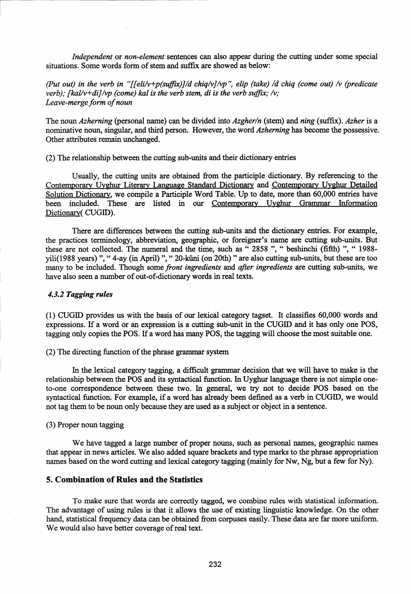*Independent* or *non-element* sentences can also appear during the cutting under some special situations. Some words form of stem and suffix are showed as below:

*(Put out) in the verb in " ffeli/v+p(suffix)J id chiq/vJ/vp", elip (take) /d chiq (come out) /v (predicate verb); [kal/v+di]/vp (come) kal is the verb stem, di is the verb suffix; /v; Leave-merge form of noun*

The noun *Azherning* (personal name) can be divided into *Azgherin* (stem) and *ning* (suffix). *Azher* is a nominative noun, singular, and third person. However, the word *Azherning* has become the possessive. Other attributes remain unchanged.

(2) The relationship between the cutting sub-units and their dictionary entries

Usually, the cutting units are obtained from the participle dictionary. By referencing to the Contemporary Uyghur Literary Language Standard Dictionary, and Contemporary Uyghur Detailed Solution Dictionary, we compile a Participle Word Table. Up to date, more than 60,000 entries have been included. These are listed in our Contemporary Uyghur Grammar Information Dictionary( CUGID).

There are differences between the cutting sub-units and the dictionary entries. For example, the practices terminology, abbreviation, geographic, or foreigner's name are cutting sub-units. But these are not collected. The numeral and the time, such as " 2858 ", " beshinchi (fifth) ", " 1988 yili(1988 years) ", " 4-ay (in April) ", " 20-küni (on 20th) " are also cutting sub-units, but these are too many to be included. Though some *front ingredients* and *after ingredients* are cutting sub-units, we have also seen a number of out-of-dictionary words in real texts.

### *4.3.2 Tagging rules*

(1) CUGID provides us with the basis of our lexical category tagset. It classifies 60,000 words and expressions. If a word or an expression is a cutting sub-unit in the CUGID and it has only one POS, tagging only copies the POS. If a word has many POS, the tagging will choose the most suitable one.

(2) The directing function of the phrase grammar system

In the lexical category tagging, a difficult grammar decision that we will have to make is the relationship between the POS and its syntactical function. In Uyghur language there is not simple oneto-one correspondence between these two. In general, we try not to decide POS based on the syntactical function. For example, if a word has already been defined as a verb in CUGID, we would not tag them to be noun only because they are used as a subject or object in a sentence.

### (3) Proper noun tagging

We have tagged a large number of proper nouns, such as personal names, geographic names that appear in news articles. We also added square brackets and type marks to the phrase appropriation names based on the word cutting and lexical category tagging (mainly for Nw, Ng, but a few for Ny).

### 5. Combination of Rules and the Statistics

To make sure that words are correctly tagged, we combine rules with statistical information. The advantage of using rules is that it allows the use of existing linguistic knowledge. On the other hand, statistical frequency data can be obtained from corpuses easily. These data are far more uniform. We would also have better coverage of real text.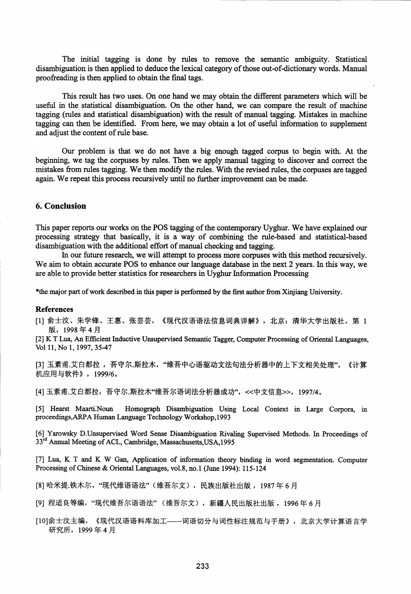The initial tagging is done by rules to remove the semantic ambiguity. Statistical disambiguation is then applied to deduce the lexical category of those out-of-dictionary words. Manual proofreading is then applied to obtain the final tags.

This result has two uses. On one hand we may obtain the different parameters which will be useful in the statistical disambiguation. On the other hand, we can compare the result of machine tagging (rules and statistical disambiguation) with the result of manual tagging. Mistakes in machine tagging can then be identified. From here, we may obtain a lot of useful information to supplement and adjust the content of rule base.

Our problem is that we do not have a big enough tagged corpus to begin with. At the beginning, we tag the corpuses by rules. Then we apply manual tagging to discover and correct the mistakes from rules tagging. We then modify the rules. With the revised rules, the corpuses are tagged again. We repeat this process recursively until no further improvement can be made.

# 6. Conclusion

This paper reports our works on the POS tagging of the contemporary Uyghur. We have explained our processing strategy that basically, it is a way of combining the rule-based and statistical-based disambiguation with the additional effort of manual checking and tagging.

In our future research, we will attempt to process more corpuses with this method recursively. We aim to obtain accurate POS to enhance our language database in the next 2 years. In this way, we are able to provide better statistics for researchers in Uyghur Information Processing

\*the major part of work described in this paper is performed by the first author from Xinjiang University.

#### References

[1] 俞士汶、朱学锋、王惠、张芸芸, 《现代汉语语法信息词典详解》, 北京: 清华大学出版社, 第 1 版, 1998年4月

[2] K T Lua, An Efficient Inductive Unsupervised Semantic Tagger, Computer Processing of Oriental Languages, Vol 11, No 1, 1997, 35-47

[3] 玉素甫.艾白都拉 ,吾守尔.斯拉木,"维吾中心语驱动文法句法分析器中的上下文相关处理",《计算 机应用与软件》, 1999/6。

[4] 玉素甫.艾白都拉, 吾守尔.斯拉木"维吾尔语词法分析器成功", <<中文信息>>, 1997/4。

[5] Hearst Maarti.Noun Homograph Disambiguation Using Local Context in Large Corpora, in proceedings,ARPA Human Language Technology Workshop,1993

[6] Yarowsky D.Unsupervised Word Sense Disambiguation Rivaling Supervised Methods. In Proceedings of 33<sup>rd</sup> Annual Meeting of ACL, Cambridge, Massachusetts, USA, 1995

[7] Lua, K T and K W Gan, Application of information theory binding in word segmentation. Computer Processing of Chinese & Oriental Languages, vol.8, no.1 (June 1994): 115-124

[8] 哈米提.铁木尔,"现代维语语法"(维吾尔文),民族出版社出版 ,1987 年 6 月

[9] 程适良等编, "现代维吾尔语语法"(维吾尔文), 新疆人民出版社出版, 1996年6月

[10]俞士汶主编,《现代汉语语料库加工——词语切分与词性标注规范与手册》, 北京大学计算语言学 研究所, 1999年4月